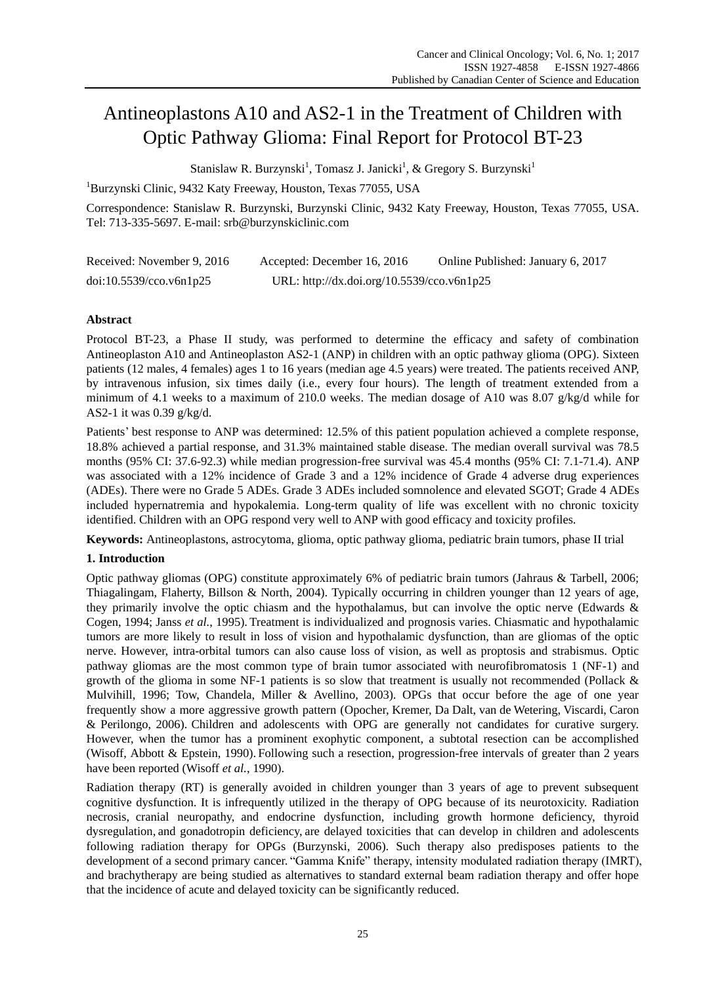# Antineoplastons A10 and AS2-1 in the Treatment of Children with Optic Pathway Glioma: Final Report for Protocol BT-23

Stanislaw R. Burzynski<sup>1</sup>, Tomasz J. Janicki<sup>1</sup>, & Gregory S. Burzynski<sup>1</sup>

<sup>1</sup>Burzynski Clinic, 9432 Katy Freeway, Houston, Texas 77055, USA

Correspondence: Stanislaw R. Burzynski, Burzynski Clinic, 9432 Katy Freeway, Houston, Texas 77055, USA. Tel: 713-335-5697. E-mail: srb@burzynskiclinic.com

| Received: November 9, 2016 | Accepted: December 16, 2016                | Online Published: January 6, 2017 |
|----------------------------|--------------------------------------------|-----------------------------------|
| doi:10.5539/cco.v6n1p25    | URL: http://dx.doi.org/10.5539/cco.v6n1p25 |                                   |

# **Abstract**

Protocol BT-23, a Phase II study, was performed to determine the efficacy and safety of combination Antineoplaston A10 and Antineoplaston AS2-1 (ANP) in children with an optic pathway glioma (OPG). Sixteen patients (12 males, 4 females) ages 1 to 16 years (median age 4.5 years) were treated. The patients received ANP, by intravenous infusion, six times daily (i.e., every four hours). The length of treatment extended from a minimum of 4.1 weeks to a maximum of 210.0 weeks. The median dosage of A10 was 8.07  $g/kg/d$  while for AS2-1 it was 0.39 g/kg/d.

Patients' best response to ANP was determined: 12.5% of this patient population achieved a complete response, 18.8% achieved a partial response, and 31.3% maintained stable disease. The median overall survival was 78.5 months (95% CI: 37.6-92.3) while median progression-free survival was 45.4 months (95% CI: 7.1-71.4). ANP was associated with a 12% incidence of Grade 3 and a 12% incidence of Grade 4 adverse drug experiences (ADEs). There were no Grade 5 ADEs. Grade 3 ADEs included somnolence and elevated SGOT; Grade 4 ADEs included hypernatremia and hypokalemia. Long-term quality of life was excellent with no chronic toxicity identified. Children with an OPG respond very well to ANP with good efficacy and toxicity profiles.

**Keywords:** Antineoplastons, astrocytoma, glioma, optic pathway glioma, pediatric brain tumors, phase II trial

# **1. Introduction**

Optic pathway gliomas (OPG) constitute approximately 6% of pediatric brain tumors (Jahraus & Tarbell, 2006; Thiagalingam, Flaherty, Billson & North, 2004). Typically occurring in children younger than 12 years of age, they primarily involve the optic chiasm and the hypothalamus, but can involve the optic nerve (Edwards & Cogen, 1994; Janss *et al.*, 1995). Treatment is individualized and prognosis varies. Chiasmatic and hypothalamic tumors are more likely to result in loss of vision and hypothalamic dysfunction, than are gliomas of the optic nerve. However, intra-orbital tumors can also cause loss of vision, as well as proptosis and strabismus. Optic pathway gliomas are the most common type of brain tumor associated with neurofibromatosis 1 (NF-1) and growth of the glioma in some NF-1 patients is so slow that treatment is usually not recommended (Pollack  $\&$ Mulvihill, 1996; Tow, Chandela, Miller & Avellino, 2003). OPGs that occur before the age of one year frequently show a more aggressive growth pattern (Opocher, Kremer, Da Dalt, van de Wetering, Viscardi, Caron & Perilongo, 2006). Children and adolescents with OPG are generally not candidates for curative surgery. However, when the tumor has a prominent exophytic component, a subtotal resection can be accomplished (Wisoff, Abbott & Epstein, 1990). Following such a resection, progression-free intervals of greater than 2 years have been reported (Wisoff *et al.*, 1990).

Radiation therapy (RT) is generally avoided in children younger than 3 years of age to prevent subsequent cognitive dysfunction. It is infrequently utilized in the therapy of OPG because of its neurotoxicity. Radiation necrosis, cranial neuropathy, and endocrine dysfunction, including growth hormone deficiency, thyroid dysregulation, and gonadotropin deficiency, are delayed toxicities that can develop in children and adolescents following radiation therapy for OPGs (Burzynski, 2006). Such therapy also predisposes patients to the development of a second primary cancer. "Gamma Knife" therapy, intensity modulated radiation therapy (IMRT), and brachytherapy are being studied as alternatives to standard external beam radiation therapy and offer hope that the incidence of acute and delayed toxicity can be significantly reduced.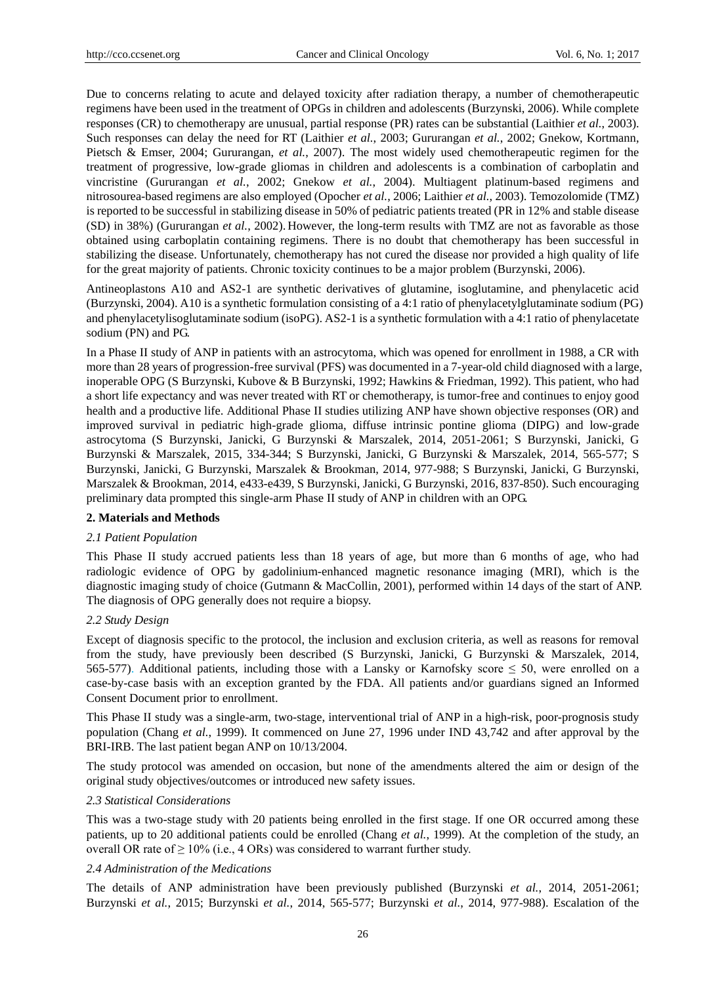Due to concerns relating to acute and delayed toxicity after radiation therapy, a number of chemotherapeutic regimens have been used in the treatment of OPGs in children and adolescents (Burzynski, 2006). While complete responses (CR) to chemotherapy are unusual, partial response (PR) rates can be substantial (Laithier *et al.*, 2003). Such responses can delay the need for RT (Laithier *et al.*, 2003; Gururangan *et al.*, 2002; Gnekow, Kortmann, Pietsch & Emser, 2004; Gururangan, *et al.*, 2007). The most widely used chemotherapeutic regimen for the treatment of progressive, low-grade gliomas in children and adolescents is a combination of carboplatin and vincristine (Gururangan *et al.*, 2002; Gnekow *et al.*, 2004). Multiagent platinum-based regimens and nitrosourea-based regimens are also employed (Opocher *et al.*, 2006; Laithier *et al.*, 2003). Temozolomide (TMZ) is reported to be successful in stabilizing disease in 50% of pediatric patients treated (PR in 12% and stable disease (SD) in 38%) (Gururangan *et al.*, 2002). However, the long-term results with TMZ are not as favorable as those obtained using carboplatin containing regimens. There is no doubt that chemotherapy has been successful in stabilizing the disease. Unfortunately, chemotherapy has not cured the disease nor provided a high quality of life for the great majority of patients. Chronic toxicity continues to be a major problem (Burzynski, 2006).

Antineoplastons A10 and AS2-1 are synthetic derivatives of glutamine, isoglutamine, and phenylacetic acid (Burzynski, 2004). A10 is a synthetic formulation consisting of a 4:1 ratio of phenylacetylglutaminate sodium (PG) and phenylacetylisoglutaminate sodium (isoPG). AS2-1 is a synthetic formulation with a 4:1 ratio of phenylacetate sodium (PN) and PG.

In a Phase II study of ANP in patients with an astrocytoma, which was opened for enrollment in 1988, a CR with more than 28 years of progression-free survival (PFS) was documented in a 7-year-old child diagnosed with a large, inoperable OPG (S Burzynski, Kubove & B Burzynski, 1992; Hawkins & Friedman, 1992). This patient, who had a short life expectancy and was never treated with RT or chemotherapy, is tumor-free and continues to enjoy good health and a productive life. Additional Phase II studies utilizing ANP have shown objective responses (OR) and improved survival in pediatric high-grade glioma, diffuse intrinsic pontine glioma (DIPG) and low-grade astrocytoma (S Burzynski, Janicki, G Burzynski & Marszalek, 2014, 2051-2061; S Burzynski, Janicki, G Burzynski & Marszalek, 2015, 334-344; S Burzynski, Janicki, G Burzynski & Marszalek, 2014, 565-577; S Burzynski, Janicki, G Burzynski, Marszalek & Brookman, 2014, 977-988; S Burzynski, Janicki, G Burzynski, Marszalek & Brookman, 2014, e433-e439, S Burzynski, Janicki, G Burzynski, 2016, 837-850). Such encouraging preliminary data prompted this single-arm Phase II study of ANP in children with an OPG.

# **2. Materials and Methods**

#### *2.1 Patient Population*

This Phase II study accrued patients less than 18 years of age, but more than 6 months of age, who had radiologic evidence of OPG by gadolinium-enhanced magnetic resonance imaging (MRI), which is the diagnostic imaging study of choice (Gutmann & MacCollin, 2001), performed within 14 days of the start of ANP. The diagnosis of OPG generally does not require a biopsy.

### *2.2 Study Design*

Except of diagnosis specific to the protocol, the inclusion and exclusion criteria, as well as reasons for removal from the study, have previously been described (S Burzynski, Janicki, G Burzynski & Marszalek, 2014, 565-577). Additional patients, including those with a Lansky or Karnofsky score  $\leq$  50, were enrolled on a case-by-case basis with an exception granted by the FDA. All patients and/or guardians signed an Informed Consent Document prior to enrollment.

This Phase II study was a single-arm, two-stage, interventional trial of ANP in a high-risk, poor-prognosis study population (Chang *et al.*, 1999). It commenced on June 27, 1996 under IND 43,742 and after approval by the BRI-IRB. The last patient began ANP on 10/13/2004.

The study protocol was amended on occasion, but none of the amendments altered the aim or design of the original study objectives/outcomes or introduced new safety issues.

#### *2.3 Statistical Considerations*

This was a two-stage study with 20 patients being enrolled in the first stage. If one OR occurred among these patients, up to 20 additional patients could be enrolled (Chang *et al.*, 1999). At the completion of the study, an overall OR rate of  $\geq 10\%$  (i.e., 4 ORs) was considered to warrant further study.

## *2.4 Administration of the Medications*

The details of ANP administration have been previously published (Burzynski *et al.*, 2014, 2051-2061; Burzynski *et al.*, 2015; Burzynski *et al.*, 2014, 565-577; Burzynski *et al.*, 2014, 977-988). Escalation of the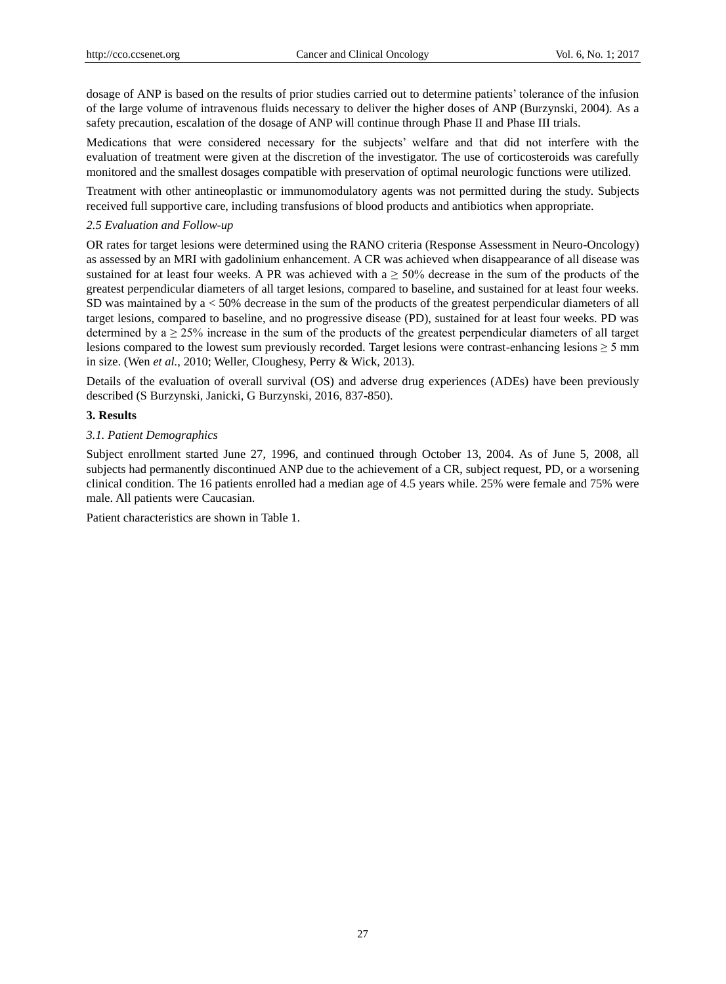dosage of ANP is based on the results of prior studies carried out to determine patients' tolerance of the infusion of the large volume of intravenous fluids necessary to deliver the higher doses of ANP (Burzynski, 2004). As a safety precaution, escalation of the dosage of ANP will continue through Phase II and Phase III trials.

Medications that were considered necessary for the subjects' welfare and that did not interfere with the evaluation of treatment were given at the discretion of the investigator. The use of corticosteroids was carefully monitored and the smallest dosages compatible with preservation of optimal neurologic functions were utilized.

Treatment with other antineoplastic or immunomodulatory agents was not permitted during the study. Subjects received full supportive care, including transfusions of blood products and antibiotics when appropriate.

## *2.5 Evaluation and Follow-up*

OR rates for target lesions were determined using the RANO criteria (Response Assessment in Neuro-Oncology) as assessed by an MRI with gadolinium enhancement. A CR was achieved when disappearance of all disease was sustained for at least four weeks. A PR was achieved with  $a \ge 50\%$  decrease in the sum of the products of the greatest perpendicular diameters of all target lesions, compared to baseline, and sustained for at least four weeks. SD was maintained by a < 50% decrease in the sum of the products of the greatest perpendicular diameters of all target lesions, compared to baseline, and no progressive disease (PD), sustained for at least four weeks. PD was determined by  $a \ge 25\%$  increase in the sum of the products of the greatest perpendicular diameters of all target lesions compared to the lowest sum previously recorded. Target lesions were contrast-enhancing lesions  $\geq 5$  mm in size. (Wen *et al.*, 2010; Weller, Cloughesy, Perry & Wick, 2013).

Details of the evaluation of overall survival (OS) and adverse drug experiences (ADEs) have been previously described (S Burzynski, Janicki, G Burzynski, 2016, 837-850).

## **3. Results**

## *3.1. Patient Demographics*

Subject enrollment started June 27, 1996, and continued through October 13, 2004. As of June 5, 2008, all subjects had permanently discontinued ANP due to the achievement of a CR, subject request, PD, or a worsening clinical condition. The 16 patients enrolled had a median age of 4.5 years while. 25% were female and 75% were male. All patients were Caucasian.

Patient characteristics are shown in Table 1.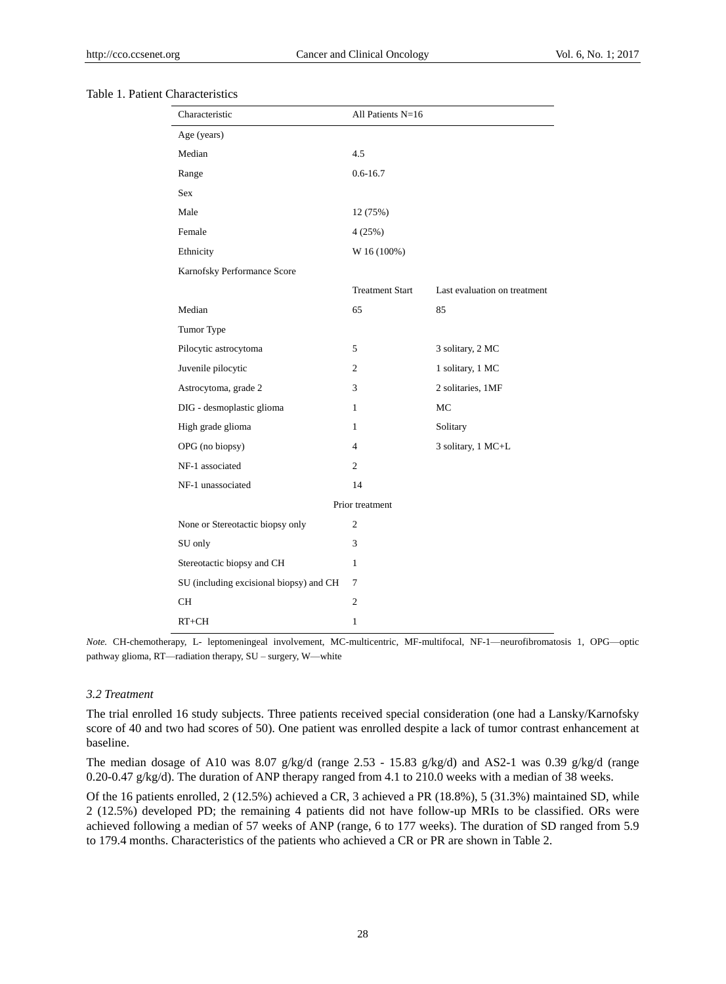#### Table 1. Patient Characteristics

| Characteristic                          | All Patients $N=16$    |                              |
|-----------------------------------------|------------------------|------------------------------|
| Age (years)                             |                        |                              |
| Median                                  | 4.5                    |                              |
| Range                                   | $0.6 - 16.7$           |                              |
| Sex                                     |                        |                              |
| Male                                    | 12 (75%)               |                              |
| Female                                  | 4(25%)                 |                              |
| Ethnicity                               | W 16 (100%)            |                              |
| Karnofsky Performance Score             |                        |                              |
|                                         | <b>Treatment Start</b> | Last evaluation on treatment |
| Median                                  | 65                     | 85                           |
| Tumor Type                              |                        |                              |
| Pilocytic astrocytoma                   | 5                      | 3 solitary, 2 MC             |
| Juvenile pilocytic                      | $\overline{c}$         | 1 solitary, 1 MC             |
| Astrocytoma, grade 2                    | 3                      | 2 solitaries, 1MF            |
| DIG - desmoplastic glioma               | 1                      | MC                           |
| High grade glioma                       | 1                      | Solitary                     |
| OPG (no biopsy)                         | $\overline{4}$         | 3 solitary, 1 MC+L           |
| NF-1 associated                         | $\overline{c}$         |                              |
| NF-1 unassociated                       | 14                     |                              |
|                                         | Prior treatment        |                              |
| None or Stereotactic biopsy only        | 2                      |                              |
| SU only                                 | 3                      |                              |
| Stereotactic biopsy and CH              | 1                      |                              |
| SU (including excisional biopsy) and CH | 7                      |                              |
| <b>CH</b>                               | $\overline{c}$         |                              |
| $RT+CH$                                 | $\mathbf{1}$           |                              |

*Note.* CH-chemotherapy, L- leptomeningeal involvement, MC-multicentric, MF-multifocal, NF-1—neurofibromatosis 1, OPG—optic pathway glioma, RT—radiation therapy, SU – surgery, W—white

#### *3.2 Treatment*

The trial enrolled 16 study subjects. Three patients received special consideration (one had a Lansky/Karnofsky score of 40 and two had scores of 50). One patient was enrolled despite a lack of tumor contrast enhancement at baseline.

The median dosage of A10 was 8.07 g/kg/d (range 2.53 - 15.83 g/kg/d) and AS2-1 was 0.39 g/kg/d (range 0.20-0.47 g/kg/d). The duration of ANP therapy ranged from 4.1 to 210.0 weeks with a median of 38 weeks.

Of the 16 patients enrolled, 2 (12.5%) achieved a CR, 3 achieved a PR (18.8%), 5 (31.3%) maintained SD, while 2 (12.5%) developed PD; the remaining 4 patients did not have follow-up MRIs to be classified. ORs were achieved following a median of 57 weeks of ANP (range, 6 to 177 weeks). The duration of SD ranged from 5.9 to 179.4 months. Characteristics of the patients who achieved a CR or PR are shown in Table 2.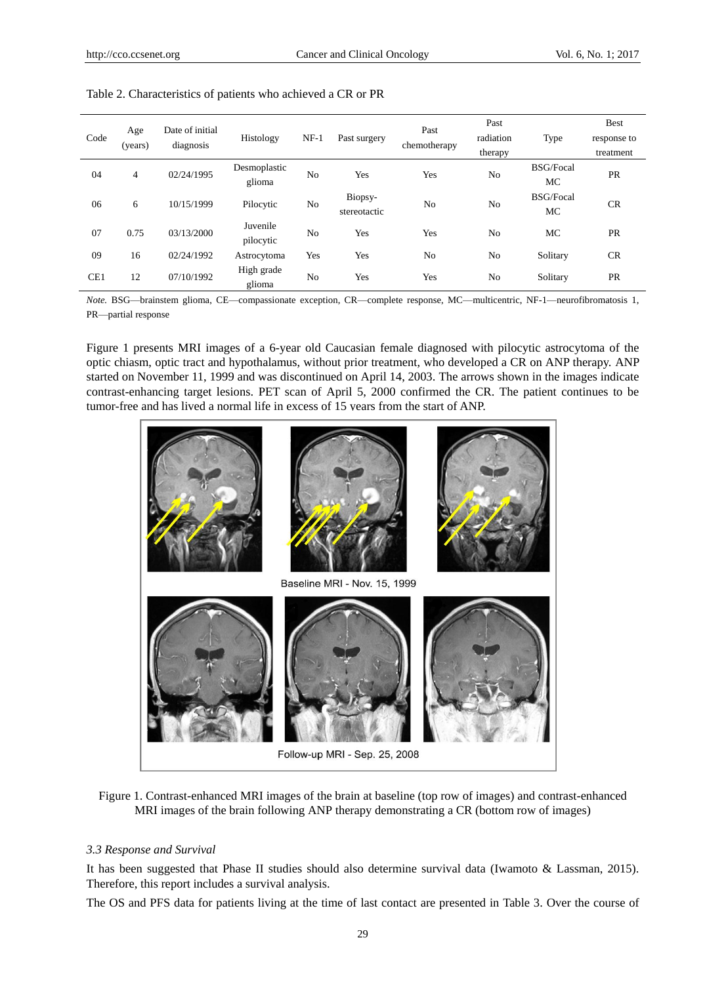|            | Age        | Date of initial |                |                       |                | Past           | Past             |                  | <b>Best</b> |  |
|------------|------------|-----------------|----------------|-----------------------|----------------|----------------|------------------|------------------|-------------|--|
| Code       | (years)    | diagnosis       | Histology      | $NF-1$                | Past surgery   | chemotherapy   | radiation        | Type             | response to |  |
|            |            |                 |                |                       |                |                | therapy          |                  | treatment   |  |
|            |            | 02/24/1995      | Desmoplastic   |                       |                | Yes            |                  | <b>BSG/Focal</b> | <b>PR</b>   |  |
| 04<br>4    |            | glioma          | N <sub>0</sub> | Yes                   |                | N <sub>0</sub> | MC               |                  |             |  |
| 06<br>6    | 10/15/1999 | Pilocytic       | No             | Biopsy-               | N <sub>0</sub> | No             | <b>BSG/Focal</b> | CR               |             |  |
|            |            |                 |                | stereotactic          |                |                | МC               |                  |             |  |
| 07<br>0.75 | 03/13/2000 | Juvenile        |                | N <sub>o</sub><br>Yes | Yes            | N <sub>0</sub> | MC               | <b>PR</b>        |             |  |
|            |            | pilocytic       |                |                       |                |                |                  |                  |             |  |
| 09         | 16         | 02/24/1992      | Astrocytoma    | Yes                   | Yes            | N <sub>0</sub> | N <sub>0</sub>   | Solitary         | CR          |  |
| CE1<br>12  |            | 07/10/1992      | High grade     | Yes                   | Yes            |                |                  | PR               |             |  |
|            |            | glioma          | No             |                       |                | N <sub>0</sub> | Solitary         |                  |             |  |

Table 2. Characteristics of patients who achieved a CR or PR

*Note.* BSG—brainstem glioma, CE—compassionate exception, CR—complete response, MC—multicentric, NF-1—neurofibromatosis 1, PR—partial response

Figure 1 presents MRI images of a 6-year old Caucasian female diagnosed with pilocytic astrocytoma of the optic chiasm, optic tract and hypothalamus, without prior treatment, who developed a CR on ANP therapy. ANP started on November 11, 1999 and was discontinued on April 14, 2003. The arrows shown in the images indicate contrast-enhancing target lesions. PET scan of April 5, 2000 confirmed the CR. The patient continues to be tumor-free and has lived a normal life in excess of 15 years from the start of ANP.



Figure 1. Contrast-enhanced MRI images of the brain at baseline (top row of images) and contrast-enhanced MRI images of the brain following ANP therapy demonstrating a CR (bottom row of images)

## *3.3 Response and Survival*

It has been suggested that Phase II studies should also determine survival data (Iwamoto & Lassman, 2015). Therefore, this report includes a survival analysis.

The OS and PFS data for patients living at the time of last contact are presented in Table 3. Over the course of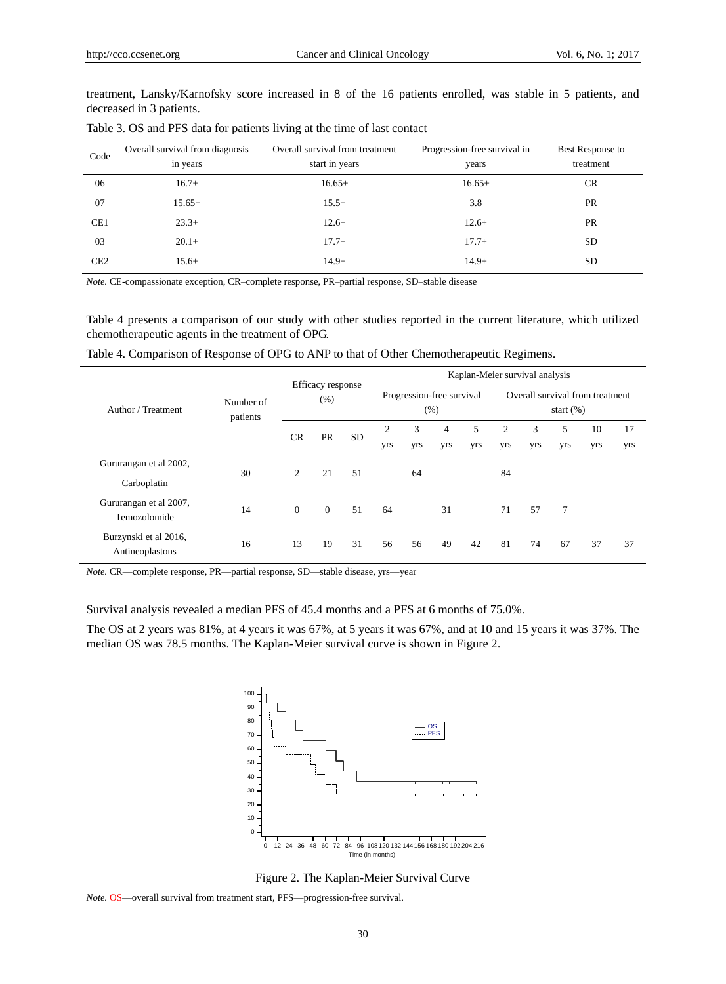treatment, Lansky/Karnofsky score increased in 8 of the 16 patients enrolled, was stable in 5 patients, and decreased in 3 patients.

| Code            | Overall survival from diagnosis<br>in years | Overall survival from treatment<br>start in years | Progression-free survival in<br>years | Best Response to<br>treatment |
|-----------------|---------------------------------------------|---------------------------------------------------|---------------------------------------|-------------------------------|
| 06              | $16.7+$                                     | $16.65+$                                          | $16.65+$                              | <b>CR</b>                     |
| 07              | $15.65+$                                    | $15.5+$                                           | 3.8                                   | <b>PR</b>                     |
| CE <sub>1</sub> | $23.3+$                                     | $12.6+$                                           | $12.6+$                               | <b>PR</b>                     |
| 03              | $20.1+$                                     | $17.7+$                                           | $17.7+$                               | SD                            |
| CE <sub>2</sub> | $15.6+$                                     | $14.9+$                                           | $14.9+$                               | SD                            |

Table 3. OS and PFS data for patients living at the time of last contact

*Note.* CE-compassionate exception, CR–complete response, PR–partial response, SD–stable disease

Table 4 presents a comparison of our study with other studies reported in the current literature, which utilized chemotherapeutic agents in the treatment of OPG.

Table 4. Comparison of Response of OPG to ANP to that of Other Chemotherapeutic Regimens.

|                                          | Number of<br>patients | Efficacy response<br>(% ) |                | Kaplan-Meier survival analysis    |                |     |                                                 |     |     |     |     |     |     |
|------------------------------------------|-----------------------|---------------------------|----------------|-----------------------------------|----------------|-----|-------------------------------------------------|-----|-----|-----|-----|-----|-----|
| Author / Treatment                       |                       |                           |                | Progression-free survival<br>(% ) |                |     | Overall survival from treatment<br>start $(\%)$ |     |     |     |     |     |     |
|                                          |                       | <b>CR</b>                 |                | <b>PR</b><br><b>SD</b>            | $\overline{c}$ | 3   | $\overline{4}$                                  | 5   | 2   | 3   | 5   | 10  | 17  |
|                                          |                       |                           |                |                                   | yrs            | yrs | yrs                                             | yrs | yrs | yrs | yrs | yrs | yrs |
| Gururangan et al 2002,                   | 30                    | $\overline{c}$            | 21             | 51                                |                | 64  |                                                 |     | 84  |     |     |     |     |
| Carboplatin                              |                       |                           |                |                                   |                |     |                                                 |     |     |     |     |     |     |
| Gururangan et al 2007,                   | 14                    | $\mathbf{0}$              | $\overline{0}$ | 51                                | 64             |     | 31                                              |     | 71  | 57  | 7   |     |     |
| Temozolomide                             |                       |                           |                |                                   |                |     |                                                 |     |     |     |     |     |     |
| Burzynski et al 2016,<br>Antineoplastons | 16                    | 13                        | 19             | 31                                | 56             | 56  | 49                                              | 42  | 81  | 74  | 67  | 37  | 37  |

*Note.* CR—complete response, PR—partial response, SD—stable disease, yrs—year

Survival analysis revealed a median PFS of 45.4 months and a PFS at 6 months of 75.0%.

The OS at 2 years was 81%, at 4 years it was 67%, at 5 years it was 67%, and at 10 and 15 years it was 37%. The median OS was 78.5 months. The Kaplan-Meier survival curve is shown in Figure 2.



Figure 2. The Kaplan-Meier Survival Curve

*Note.* OS—overall survival from treatment start, PFS—progression-free survival.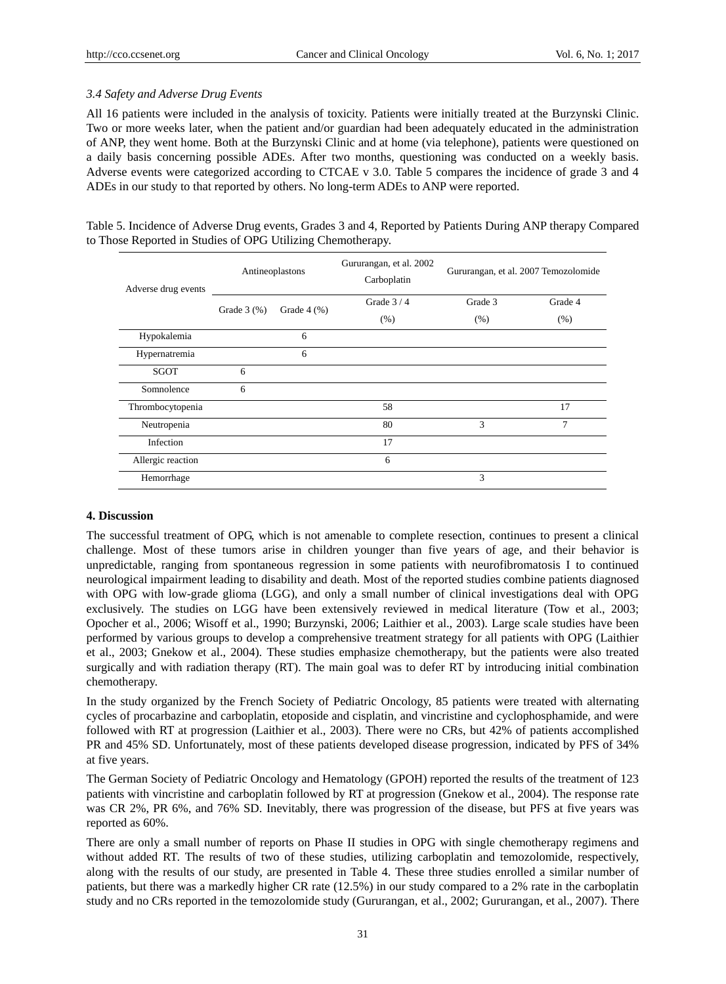# *3.4 Safety and Adverse Drug Events*

All 16 patients were included in the analysis of toxicity. Patients were initially treated at the Burzynski Clinic. Two or more weeks later, when the patient and/or guardian had been adequately educated in the administration of ANP, they went home. Both at the Burzynski Clinic and at home (via telephone), patients were questioned on a daily basis concerning possible ADEs. After two months, questioning was conducted on a weekly basis. Adverse events were categorized according to CTCAE v 3.0. Table 5 compares the incidence of grade 3 and 4 ADEs in our study to that reported by others. No long-term ADEs to ANP were reported.

Table 5. Incidence of Adverse Drug events, Grades 3 and 4, Reported by Patients During ANP therapy Compared to Those Reported in Studies of OPG Utilizing Chemotherapy.

| Adverse drug events |              | Antineoplastons | Gururangan, et al. 2002<br>Carboplatin | Gururangan, et al. 2007 Temozolomide |         |  |  |
|---------------------|--------------|-----------------|----------------------------------------|--------------------------------------|---------|--|--|
|                     | Grade $3(%)$ | Grade $4$ (%)   | Grade $3/4$                            | Grade 3                              | Grade 4 |  |  |
|                     |              |                 | (% )                                   | (% )                                 | (% )    |  |  |
| Hypokalemia         |              | 6               |                                        |                                      |         |  |  |
| Hypernatremia       |              | 6               |                                        |                                      |         |  |  |
| <b>SGOT</b>         | 6            |                 |                                        |                                      |         |  |  |
| Somnolence          | 6            |                 |                                        |                                      |         |  |  |
| Thrombocytopenia    |              |                 | 58                                     |                                      | 17      |  |  |
| Neutropenia         |              |                 | 80                                     | 3                                    | 7       |  |  |
| Infection           |              |                 | 17                                     |                                      |         |  |  |
| Allergic reaction   |              |                 | 6                                      |                                      |         |  |  |
| Hemorrhage          |              |                 |                                        | 3                                    |         |  |  |

## **4. Discussion**

The successful treatment of OPG, which is not amenable to complete resection, continues to present a clinical challenge. Most of these tumors arise in children younger than five years of age, and their behavior is unpredictable, ranging from spontaneous regression in some patients with neurofibromatosis I to continued neurological impairment leading to disability and death. Most of the reported studies combine patients diagnosed with OPG with low-grade glioma (LGG), and only a small number of clinical investigations deal with OPG exclusively. The studies on LGG have been extensively reviewed in medical literature (Tow et al., 2003; Opocher et al., 2006; Wisoff et al., 1990; Burzynski, 2006; Laithier et al., 2003). Large scale studies have been performed by various groups to develop a comprehensive treatment strategy for all patients with OPG (Laithier et al., 2003; Gnekow et al., 2004). These studies emphasize chemotherapy, but the patients were also treated surgically and with radiation therapy (RT). The main goal was to defer RT by introducing initial combination chemotherapy.

In the study organized by the French Society of Pediatric Oncology, 85 patients were treated with alternating cycles of procarbazine and carboplatin, etoposide and cisplatin, and vincristine and cyclophosphamide, and were followed with RT at progression (Laithier et al., 2003). There were no CRs, but 42% of patients accomplished PR and 45% SD. Unfortunately, most of these patients developed disease progression, indicated by PFS of 34% at five years.

The German Society of Pediatric Oncology and Hematology (GPOH) reported the results of the treatment of 123 patients with vincristine and carboplatin followed by RT at progression (Gnekow et al., 2004). The response rate was CR 2%, PR 6%, and 76% SD. Inevitably, there was progression of the disease, but PFS at five years was reported as 60%.

There are only a small number of reports on Phase II studies in OPG with single chemotherapy regimens and without added RT. The results of two of these studies, utilizing carboplatin and temozolomide, respectively, along with the results of our study, are presented in Table 4. These three studies enrolled a similar number of patients, but there was a markedly higher CR rate (12.5%) in our study compared to a 2% rate in the carboplatin study and no CRs reported in the temozolomide study (Gururangan, et al., 2002; Gururangan, et al., 2007). There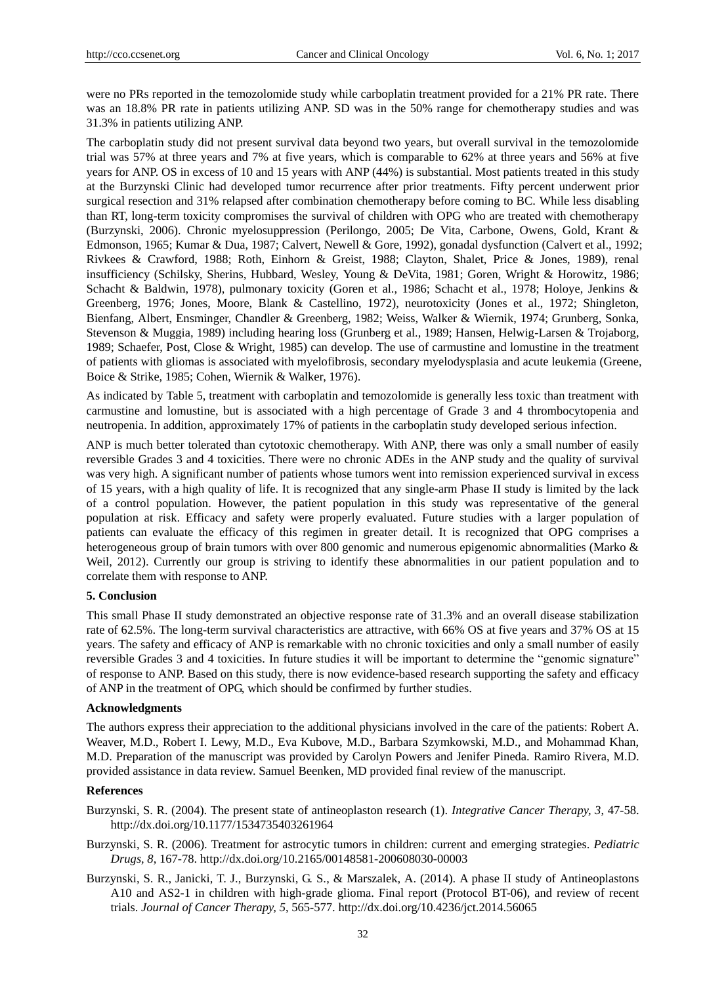were no PRs reported in the temozolomide study while carboplatin treatment provided for a 21% PR rate. There was an 18.8% PR rate in patients utilizing ANP. SD was in the 50% range for chemotherapy studies and was 31.3% in patients utilizing ANP.

The carboplatin study did not present survival data beyond two years, but overall survival in the temozolomide trial was 57% at three years and 7% at five years, which is comparable to 62% at three years and 56% at five years for ANP. OS in excess of 10 and 15 years with ANP (44%) is substantial. Most patients treated in this study at the Burzynski Clinic had developed tumor recurrence after prior treatments. Fifty percent underwent prior surgical resection and 31% relapsed after combination chemotherapy before coming to BC. While less disabling than RT, long-term toxicity compromises the survival of children with OPG who are treated with chemotherapy (Burzynski, 2006). Chronic myelosuppression (Perilongo, 2005; De Vita, Carbone, Owens, Gold, Krant & Edmonson, 1965; Kumar & Dua, 1987; Calvert, Newell & Gore, 1992), gonadal dysfunction (Calvert et al., 1992; Rivkees & Crawford, 1988; Roth, Einhorn & Greist, 1988; Clayton, Shalet, Price & Jones, 1989), renal insufficiency (Schilsky, Sherins, Hubbard, Wesley, Young & DeVita, 1981; Goren, Wright & Horowitz, 1986; Schacht & Baldwin, 1978), pulmonary toxicity (Goren et al., 1986; Schacht et al., 1978; Holoye, Jenkins & Greenberg, 1976; Jones, Moore, Blank & Castellino, 1972), neurotoxicity (Jones et al., 1972; Shingleton, Bienfang, Albert, Ensminger, Chandler & Greenberg, 1982; Weiss, Walker & Wiernik, 1974; Grunberg, Sonka, Stevenson & Muggia, 1989) including hearing loss (Grunberg et al., 1989; Hansen, Helwig-Larsen & Trojaborg, 1989; Schaefer, Post, Close & Wright, 1985) can develop. The use of carmustine and lomustine in the treatment of patients with gliomas is associated with myelofibrosis, secondary myelodysplasia and acute leukemia (Greene, Boice & Strike, 1985; Cohen, Wiernik & Walker, 1976).

As indicated by Table 5, treatment with carboplatin and temozolomide is generally less toxic than treatment with carmustine and lomustine, but is associated with a high percentage of Grade 3 and 4 thrombocytopenia and neutropenia. In addition, approximately 17% of patients in the carboplatin study developed serious infection.

ANP is much better tolerated than cytotoxic chemotherapy. With ANP, there was only a small number of easily reversible Grades 3 and 4 toxicities. There were no chronic ADEs in the ANP study and the quality of survival was very high. A significant number of patients whose tumors went into remission experienced survival in excess of 15 years, with a high quality of life. It is recognized that any single-arm Phase II study is limited by the lack of a control population. However, the patient population in this study was representative of the general population at risk. Efficacy and safety were properly evaluated. Future studies with a larger population of patients can evaluate the efficacy of this regimen in greater detail. It is recognized that OPG comprises a heterogeneous group of brain tumors with over 800 genomic and numerous epigenomic abnormalities (Marko & Weil, 2012). Currently our group is striving to identify these abnormalities in our patient population and to correlate them with response to ANP.

# **5. Conclusion**

This small Phase II study demonstrated an objective response rate of 31.3% and an overall disease stabilization rate of 62.5%. The long-term survival characteristics are attractive, with 66% OS at five years and 37% OS at 15 years. The safety and efficacy of ANP is remarkable with no chronic toxicities and only a small number of easily reversible Grades 3 and 4 toxicities. In future studies it will be important to determine the "genomic signature" of response to ANP. Based on this study, there is now evidence-based research supporting the safety and efficacy of ANP in the treatment of OPG, which should be confirmed by further studies.

## **Acknowledgments**

The authors express their appreciation to the additional physicians involved in the care of the patients: Robert A. Weaver, M.D., Robert I. Lewy, M.D., Eva Kubove, M.D., Barbara Szymkowski, M.D., and Mohammad Khan, M.D. Preparation of the manuscript was provided by Carolyn Powers and Jenifer Pineda. Ramiro Rivera, M.D. provided assistance in data review. Samuel Beenken, MD provided final review of the manuscript.

#### **References**

- Burzynski, S. R. (2004). The present state of antineoplaston research (1). *Integrative Cancer Therapy, 3*, 47-58. http://dx.doi.org/10.1177/1534735403261964
- Burzynski, S. R. (2006). Treatment for astrocytic tumors in children: current and emerging strategies. *Pediatric Drugs, 8*, 167-78. http://dx.doi.org/10.2165/00148581-200608030-00003
- Burzynski, S. R., Janicki, T. J., Burzynski, G. S., & Marszalek, A. (2014). A phase II study of Antineoplastons A10 and AS2-1 in children with high-grade glioma. Final report (Protocol BT-06), and review of recent trials. *Journal of Cancer Therapy, 5*, 565-577. http://dx.doi.org/10.4236/jct.2014.56065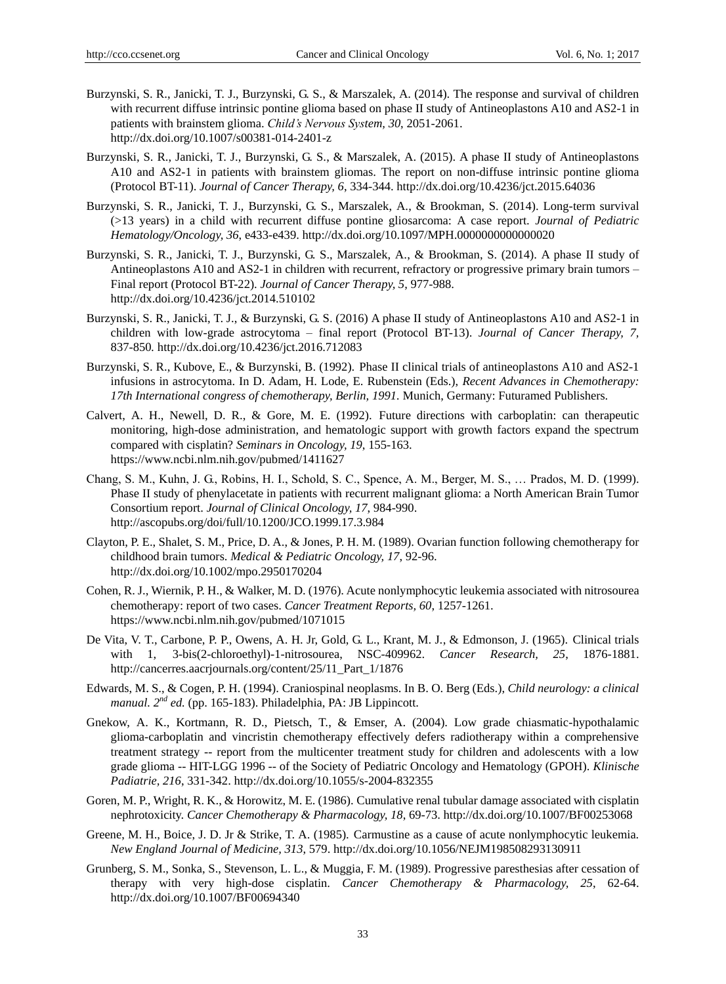- Burzynski, S. R., Janicki, T. J., Burzynski, G. S., & Marszalek, A. (2014). The response and survival of children with recurrent diffuse intrinsic pontine glioma based on phase II study of Antineoplastons A10 and AS2-1 in patients with brainstem glioma. *Child's Nervous System, 30*, 2051-2061. http://dx.doi.org/10.1007/s00381-014-2401-z
- Burzynski, S. R., Janicki, T. J., Burzynski, G. S., & Marszalek, A. (2015). A phase II study of Antineoplastons A10 and AS2-1 in patients with brainstem gliomas. The report on non-diffuse intrinsic pontine glioma (Protocol BT-11). *Journal of Cancer Therapy, 6*, 334-344. http://dx.doi.org/10.4236/jct.2015.64036
- Burzynski, S. R., Janicki, T. J., Burzynski, G. S., Marszalek, A., & Brookman, S. (2014). Long-term survival (>13 years) in a child with recurrent diffuse pontine gliosarcoma: A case report. *Journal of Pediatric Hematology/Oncology, 36*, e433-e439. http://dx.doi.org/10.1097/MPH.0000000000000020
- Burzynski, S. R., Janicki, T. J., Burzynski, G. S., Marszalek, A., & Brookman, S. (2014). A phase II study of Antineoplastons A10 and AS2-1 in children with recurrent, refractory or progressive primary brain tumors – Final report (Protocol BT-22). *Journal of Cancer Therapy, 5*, 977-988. http://dx.doi.org/10.4236/jct.2014.510102
- Burzynski, S. R., Janicki, T. J., & Burzynski, G. S. (2016) A phase II study of Antineoplastons A10 and AS2-1 in children with low-grade astrocytoma – final report (Protocol BT-13). *Journal of Cancer Therapy, 7,*  837-850*.* http://dx.doi.org/10.4236/jct.2016.712083
- Burzynski, S. R., Kubove, E., & Burzynski, B. (1992). Phase II clinical trials of antineoplastons A10 and AS2-1 infusions in astrocytoma. In D. Adam, H. Lode, E. Rubenstein (Eds.), *Recent Advances in Chemotherapy: 17th International congress of chemotherapy, Berlin, 1991.* Munich, Germany: Futuramed Publishers.
- Calvert, A. H., Newell, D. R., & Gore, M. E. (1992). Future directions with carboplatin: can therapeutic monitoring, high-dose administration, and hematologic support with growth factors expand the spectrum compared with cisplatin? *Seminars in Oncology, 19*, 155-163. https://www.ncbi.nlm.nih.gov/pubmed/1411627
- Chang, S. M., Kuhn, J. G., Robins, H. I., Schold, S. C., Spence, A. M., Berger, M. S., … Prados, M. D. (1999). Phase II study of phenylacetate in patients with recurrent malignant glioma: a North American Brain Tumor Consortium report. *Journal of Clinical Oncology, 17*, 984-990. http://ascopubs.org/doi/full/10.1200/JCO.1999.17.3.984
- Clayton, P. E., Shalet, S. M., Price, D. A., & Jones, P. H. M. (1989). Ovarian function following chemotherapy for childhood brain tumors. *Medical & Pediatric Oncology, 17*, 92-96. http://dx.doi.org/10.1002/mpo.2950170204
- Cohen, R. J., Wiernik, P. H., & Walker, M. D. (1976). Acute nonlymphocytic leukemia associated with nitrosourea chemotherapy: report of two cases. *Cancer Treatment Reports, 60*, 1257-1261. https://www.ncbi.nlm.nih.gov/pubmed/1071015
- De Vita, V. T., Carbone, P. P., Owens, A. H. Jr, Gold, G. L., Krant, M. J., & Edmonson, J. (1965). Clinical trials with 1, 3-bis(2-chloroethyl)-1-nitrosourea, NSC-409962. *Cancer Research, 25*, 1876-1881. http://cancerres.aacrjournals.org/content/25/11\_Part\_1/1876
- Edwards, M. S., & Cogen, P. H. (1994). Craniospinal neoplasms. In B. O. Berg (Eds.), *Child neurology: a clinical manual. 2nd ed.* (pp. 165-183). Philadelphia, PA: JB Lippincott.
- Gnekow, A. K., Kortmann, R. D., Pietsch, T., & Emser, A. (2004). Low grade chiasmatic-hypothalamic glioma-carboplatin and vincristin chemotherapy effectively defers radiotherapy within a comprehensive treatment strategy -- report from the multicenter treatment study for children and adolescents with a low grade glioma -- HIT-LGG 1996 -- of the Society of Pediatric Oncology and Hematology (GPOH). *Klinische Padiatrie, 216*, 331-342. http://dx.doi.org/10.1055/s-2004-832355
- Goren, M. P., Wright, R. K., & Horowitz, M. E. (1986). Cumulative renal tubular damage associated with cisplatin nephrotoxicity. *Cancer Chemotherapy & Pharmacology, 18*, 69-73. http://dx.doi.org/10.1007/BF00253068
- Greene, M. H., Boice, J. D. Jr & Strike, T. A. (1985). Carmustine as a cause of acute nonlymphocytic leukemia. *New England Journal of Medicine, 313*, 579. http://dx.doi.org/10.1056/NEJM198508293130911
- Grunberg, S. M., Sonka, S., Stevenson, L. L., & Muggia, F. M. (1989). Progressive paresthesias after cessation of therapy with very high-dose cisplatin. *Cancer Chemotherapy & Pharmacology, 25*, 62-64. http://dx.doi.org/10.1007/BF00694340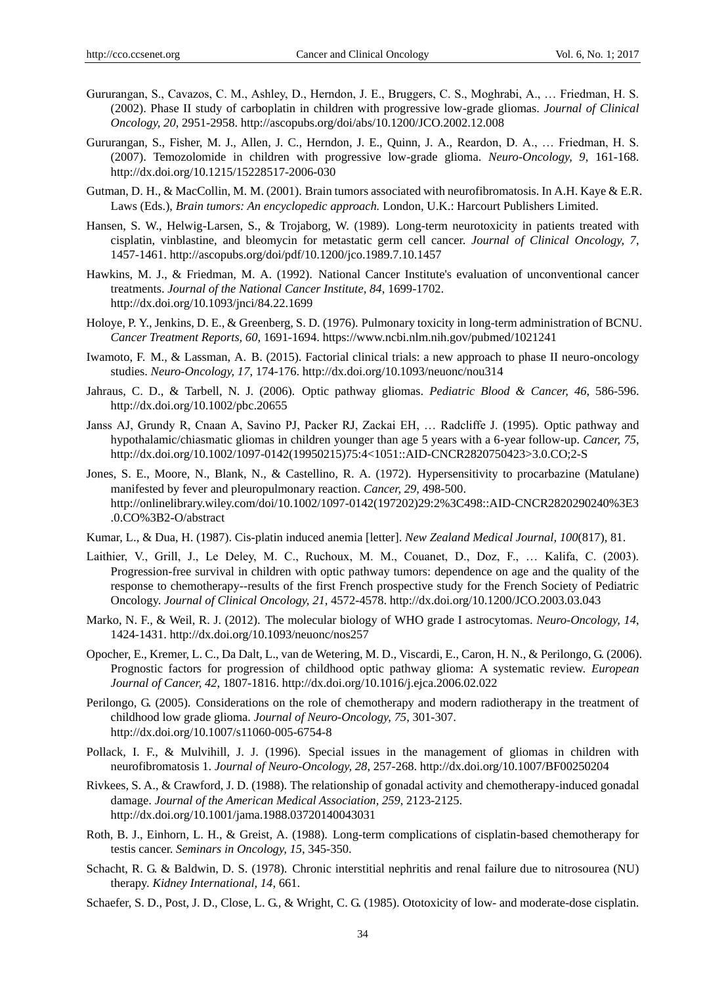- Gururangan, S., Cavazos, C. M., Ashley, D., Herndon, J. E., Bruggers, C. S., Moghrabi, A., … Friedman, H. S. (2002). Phase II study of carboplatin in children with progressive low-grade gliomas. *Journal of Clinical Oncology, 20*, 2951-2958. http://ascopubs.org/doi/abs/10.1200/JCO.2002.12.008
- Gururangan, S., Fisher, M. J., Allen, J. C., Herndon, J. E., Quinn, J. A., Reardon, D. A., … Friedman, H. S. (2007). Temozolomide in children with progressive low-grade glioma. *Neuro-Oncology, 9*, 161-168. http://dx.doi.org/10.1215/15228517-2006-030
- Gutman, D. H., & MacCollin, M. M. (2001). Brain tumors associated with neurofibromatosis. In A.H. Kaye & E.R. Laws (Eds.), *Brain tumors: An encyclopedic approach.* London, U.K.: Harcourt Publishers Limited.
- Hansen, S. W., Helwig-Larsen, S., & Trojaborg, W. (1989). Long-term neurotoxicity in patients treated with cisplatin, vinblastine, and bleomycin for metastatic germ cell cancer. *Journal of Clinical Oncology, 7*, 1457-1461. http://ascopubs.org/doi/pdf/10.1200/jco.1989.7.10.1457
- Hawkins, M. J., & Friedman, M. A. (1992). National Cancer Institute's evaluation of unconventional cancer treatments. *Journal of the National Cancer Institute, 84*, 1699-1702. http://dx.doi.org/10.1093/jnci/84.22.1699
- Holoye, P. Y., Jenkins, D. E., & Greenberg, S. D. (1976). Pulmonary toxicity in long-term administration of BCNU. *Cancer Treatment Reports, 60*, 1691-1694. https://www.ncbi.nlm.nih.gov/pubmed/1021241
- Iwamoto, F. M., & Lassman, A. B. (2015). Factorial clinical trials: a new approach to phase II neuro-oncology studies. *Neuro-Oncology, 17*, 174-176. http://dx.doi.org/10.1093/neuonc/nou314
- Jahraus, C. D., & Tarbell, N. J. (2006). Optic pathway gliomas. *Pediatric Blood & Cancer, 46*, 586-596. http://dx.doi.org/10.1002/pbc.20655
- Janss AJ, Grundy R, Cnaan A, Savino PJ, Packer RJ, Zackai EH, … Radcliffe J. (1995). Optic pathway and hypothalamic/chiasmatic gliomas in children younger than age 5 years with a 6-year follow-up. *Cancer, 75*, http://dx.doi.org/10.1002/1097-0142(19950215)75:4<1051::AID-CNCR2820750423>3.0.CO;2-S
- Jones, S. E., Moore, N., Blank, N., & Castellino, R. A. (1972). Hypersensitivity to procarbazine (Matulane) manifested by fever and pleuropulmonary reaction. *Cancer, 29*, 498-500. http://onlinelibrary.wiley.com/doi/10.1002/1097-0142(197202)29:2%3C498::AID-CNCR2820290240%3E3 .0.CO%3B2-O/abstract
- Kumar, L., & Dua, H. (1987). Cis-platin induced anemia [letter]. *New Zealand Medical Journal, 100*(817), 81.
- Laithier, V., Grill, J., Le Deley, M. C., Ruchoux, M. M., Couanet, D., Doz, F., ... Kalifa, C. (2003). Progression-free survival in children with optic pathway tumors: dependence on age and the quality of the response to chemotherapy--results of the first French prospective study for the French Society of Pediatric Oncology. *Journal of Clinical Oncology, 21*, 4572-4578. http://dx.doi.org/10.1200/JCO.2003.03.043
- Marko, N. F., & Weil, R. J. (2012). The molecular biology of WHO grade I astrocytomas. *Neuro-Oncology, 14*, 1424-1431. http://dx.doi.org/10.1093/neuonc/nos257
- Opocher, E., Kremer, L. C., Da Dalt, L., van de Wetering, M. D., Viscardi, E., Caron, H. N., & Perilongo, G. (2006). Prognostic factors for progression of childhood optic pathway glioma: A systematic review. *European Journal of Cancer, 42*, 1807-1816. http://dx.doi.org/10.1016/j.ejca.2006.02.022
- Perilongo, G. (2005). Considerations on the role of chemotherapy and modern radiotherapy in the treatment of childhood low grade glioma. *Journal of Neuro-Oncology, 75*, 301-307. http://dx.doi.org/10.1007/s11060-005-6754-8
- Pollack, I. F., & Mulvihill, J. J. (1996). Special issues in the management of gliomas in children with neurofibromatosis 1. *Journal of Neuro-Oncology, 28*, 257-268. http://dx.doi.org/10.1007/BF00250204
- Rivkees, S. A., & Crawford, J. D. (1988). The relationship of gonadal activity and chemotherapy-induced gonadal damage. *Journal of the American Medical Association, 259*, 2123-2125. http://dx.doi.org/10.1001/jama.1988.03720140043031
- Roth, B. J., Einhorn, L. H., & Greist, A. (1988). Long-term complications of cisplatin-based chemotherapy for testis cancer. *Seminars in Oncology, 15*, 345-350.
- Schacht, R. G. & Baldwin, D. S. (1978). Chronic interstitial nephritis and renal failure due to nitrosourea (NU) therapy. *Kidney International, 14*, 661.
- Schaefer, S. D., Post, J. D., Close, L. G., & Wright, C. G. (1985). Ototoxicity of low- and moderate-dose cisplatin.